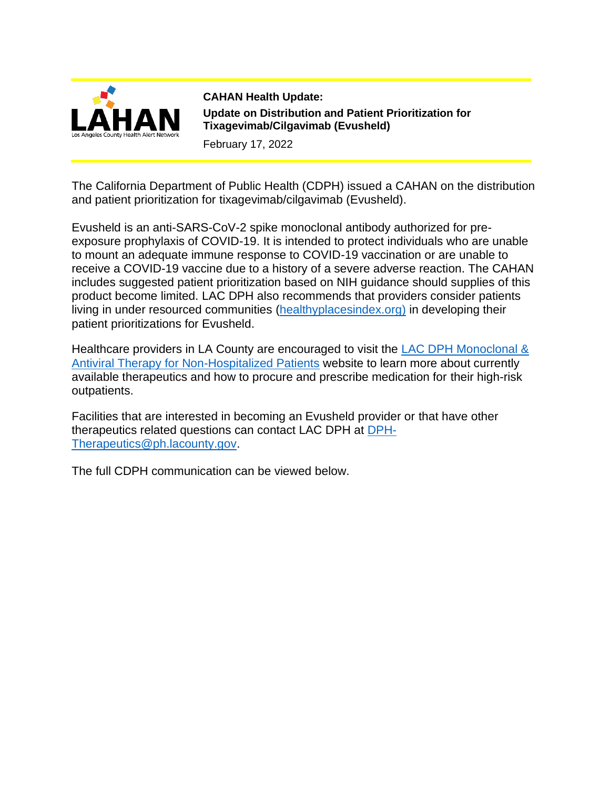

**CAHAN Health Update: Update on Distribution and Patient Prioritization for Tixagevimab/Cilgavimab (Evusheld)** February 17, 2022

The California Department of Public Health (CDPH) issued a CAHAN on the distribution and patient prioritization for tixagevimab/cilgavimab (Evusheld).

Evusheld is an anti-SARS-CoV-2 spike monoclonal antibody authorized for preexposure prophylaxis of COVID-19. It is intended to protect individuals who are unable to mount an adequate immune response to COVID-19 vaccination or are unable to receive a COVID-19 vaccine due to a history of a severe adverse reaction. The CAHAN includes suggested patient prioritization based on NIH guidance should supplies of this product become limited. LAC DPH also recommends that providers consider patients living in under resourced communities [\(healthyplacesindex.org\)](https://healthyplacesindex.org/) in developing their patient prioritizations for Evusheld.

Healthcare providers in LA County are encouraged to visit the [LAC DPH Monoclonal &](http://publichealth.lacounty.gov/acd/ncorona2019/Therapeutics/)  [Antiviral Therapy for Non-Hospitalized Patients](http://publichealth.lacounty.gov/acd/ncorona2019/Therapeutics/) website to learn more about currently available therapeutics and how to procure and prescribe medication for their high-risk outpatients.

Facilities that are interested in becoming an Evusheld provider or that have other therapeutics related questions can contact LAC DPH at [DPH-](mailto:DPH-Therapeutics@ph.lacounty.gov)[Therapeutics@ph.lacounty.gov.](mailto:DPH-Therapeutics@ph.lacounty.gov)

The full CDPH communication can be viewed below.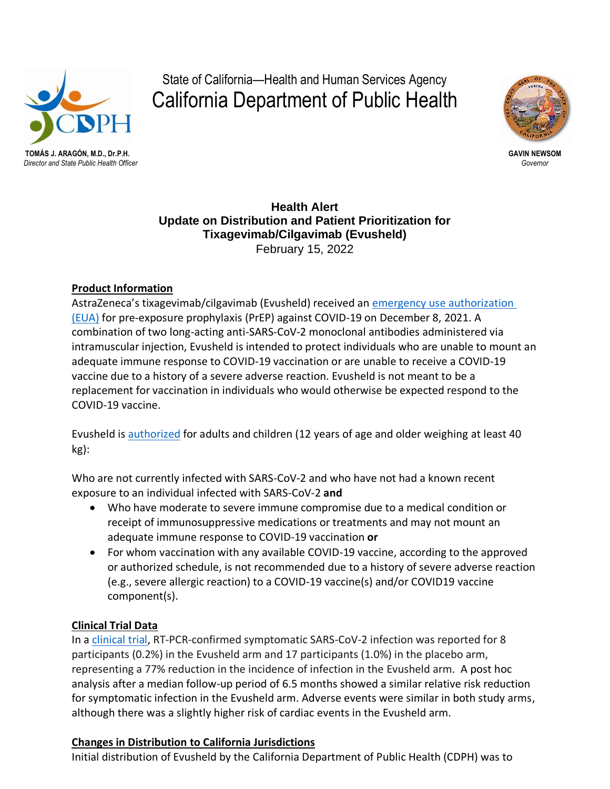

California Department of Public Health



**TOMÁS J. ARAGÓN, M.D., Dr.P.H. GAVIN NEWSOM** *Director and State Public Health Officer Governor*

**Health Alert Update on Distribution and Patient Prioritization for Tixagevimab/Cilgavimab (Evusheld)**  February 15, 2022

State of California—Health and Human Services Agency

# **Product Information**

AstraZeneca's tixagevimab/cilgavimab (Evusheld) received an [emergency use authorization](https://www.fda.gov/media/154704/download)  [\(EUA\)](https://www.fda.gov/media/154704/download) for pre-exposure prophylaxis (PrEP) against COVID-19 on December 8, 2021. A combination of two long-acting anti-SARS-CoV-2 monoclonal antibodies administered via intramuscular injection, Evusheld is intended to protect individuals who are unable to mount an adequate immune response to COVID-19 vaccination or are unable to receive a COVID-19 vaccine due to a history of a severe adverse reaction. Evusheld is not meant to be a replacement for vaccination in individuals who would otherwise be expected respond to the COVID-19 vaccine.

Evusheld is [authorized](https://www.fda.gov/media/154701/download) for adults and children (12 years of age and older weighing at least 40 kg):

Who are not currently infected with SARS-CoV-2 and who have not had a known recent exposure to an individual infected with SARS-CoV-2 **and**

- Who have moderate to severe immune compromise due to a medical condition or receipt of immunosuppressive medications or treatments and may not mount an adequate immune response to COVID-19 vaccination **or**
- For whom vaccination with any available COVID-19 vaccine, according to the approved or authorized schedule, is not recommended due to a history of severe adverse reaction (e.g., severe allergic reaction) to a COVID-19 vaccine(s) and/or COVID19 vaccine component(s).

## **Clinical Trial Data**

In a [clinical trial,](https://www.fda.gov/media/154701/download) RT-PCR-confirmed symptomatic SARS-CoV-2 infection was reported for 8 participants (0.2%) in the Evusheld arm and 17 participants (1.0%) in the placebo arm, representing a 77% reduction in the incidence of infection in the Evusheld arm. A post hoc analysis after a median follow-up period of 6.5 months showed a similar relative risk reduction for symptomatic infection in the Evusheld arm. Adverse events were similar in both study arms, although there was a slightly higher risk of cardiac events in the Evusheld arm.

## **Changes in Distribution to California Jurisdictions**

Initial distribution of Evusheld by the California Department of Public Health (CDPH) was to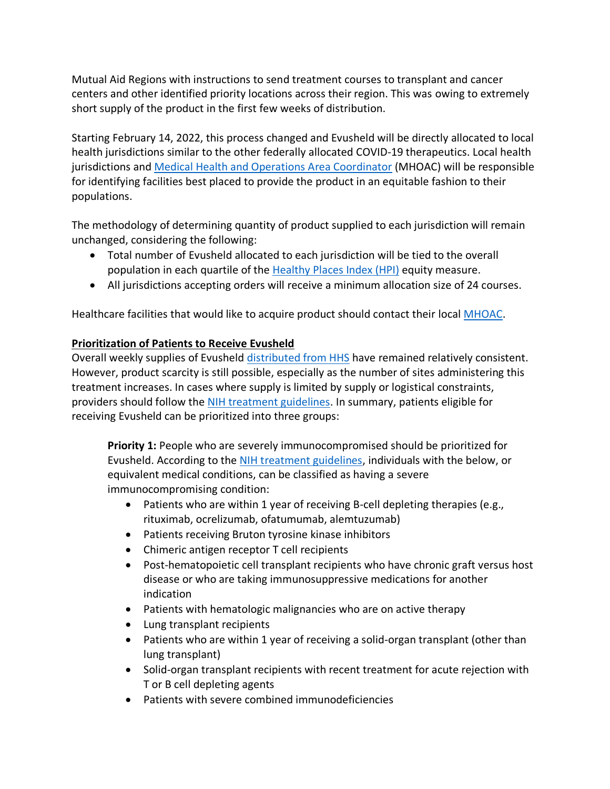Mutual Aid Regions with instructions to send treatment courses to transplant and cancer centers and other identified priority locations across their region. This was owing to extremely short supply of the product in the first few weeks of distribution.

Starting February 14, 2022, this process changed and Evusheld will be directly allocated to local health jurisdictions similar to the other federally allocated COVID-19 therapeutics. Local health jurisdictions and [Medical Health and Operations Area Coordinator](https://emsa.ca.gov/medical-health-operational-area-coordinator/) (MHOAC) will be responsible for identifying facilities best placed to provide the product in an equitable fashion to their populations.

The methodology of determining quantity of product supplied to each jurisdiction will remain unchanged, considering the following:

- Total number of Evusheld allocated to each jurisdiction will be tied to the overall population in each quartile of the [Healthy Places Index \(HPI\)](https://healthyplacesindex.org/) equity measure.
- All jurisdictions accepting orders will receive a minimum allocation size of 24 courses.

Healthcare facilities that would like to acquire product should contact their local [MHOAC.](https://emsa.ca.gov/medical-health-operational-area-coordinator/)

### **Prioritization of Patients to Receive Evusheld**

Overall weekly supplies of Evusheld [distributed from HHS](https://www.phe.gov/emergency/events/COVID19/therapeutics/distribution/Pages/data-tables.aspx) have remained relatively consistent. However, product scarcity is still possible, especially as the number of sites administering this treatment increases. In cases where supply is limited by supply or logistical constraints, providers should follow the [NIH treatment guidelines.](https://www.covid19treatmentguidelines.nih.gov/therapies/statement-on-patient-prioritization-for-outpatient-therapies/?utm_source=site&utm_medium=home&utm_campaign=highlights) In summary, patients eligible for receiving Evusheld can be prioritized into three groups:

**Priority 1:** People who are severely immunocompromised should be prioritized for Evusheld. According to the [NIH treatment guidelines,](https://www.covid19treatmentguidelines.nih.gov/therapies/statement-on-patient-prioritization-for-outpatient-therapies/?utm_source=site&utm_medium=home&utm_campaign=highlights) individuals with the below, or equivalent medical conditions, can be classified as having a severe immunocompromising condition:

- Patients who are within 1 year of receiving B-cell depleting therapies (e.g., rituximab, ocrelizumab, ofatumumab, alemtuzumab)
- Patients receiving Bruton tyrosine kinase inhibitors
- Chimeric antigen receptor T cell recipients
- Post-hematopoietic cell transplant recipients who have chronic graft versus host disease or who are taking immunosuppressive medications for another indication
- Patients with hematologic malignancies who are on active therapy
- Lung transplant recipients
- Patients who are within 1 year of receiving a solid-organ transplant (other than lung transplant)
- Solid-organ transplant recipients with recent treatment for acute rejection with T or B cell depleting agents
- Patients with severe combined immunodeficiencies